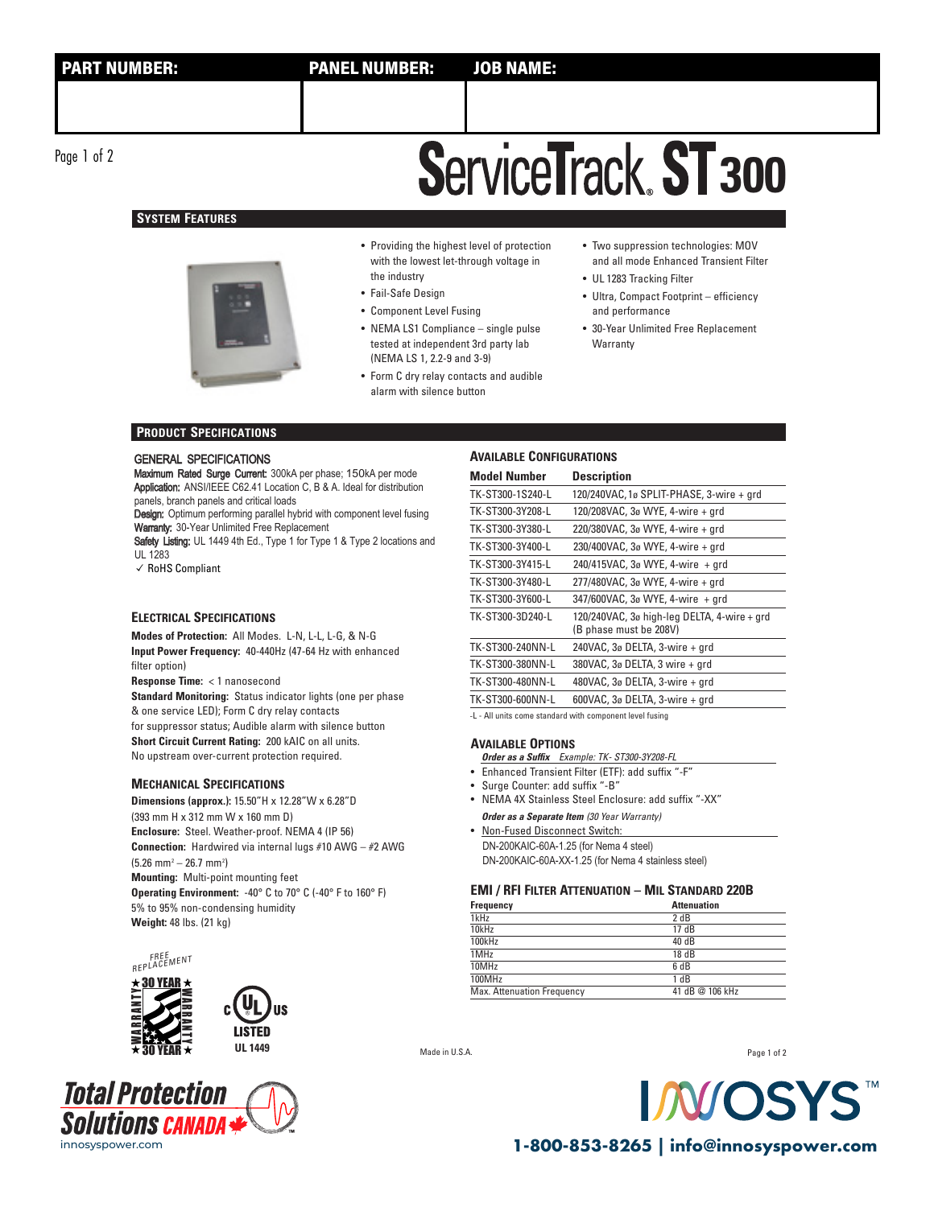Page 1 of 2

# **SYSTEM FEATURES**



• Providing the highest level of protection with the lowest let-through voltage in the industry

• Fail-Safe Design

- Component Level Fusing
- NEMA LS1 Compliance single pulse tested at independent 3rd party lab (NEMA LS 1, 2.2-9 and 3-9)
- Form C dry relay contacts and audible alarm with silence button
- Two suppression technologies: MOV and all mode Enhanced Transient Filter
- UL 1283 Tracking Filter

**ServiceTrack. ST 300** 

- Ultra, Compact Footprint efficiency and performance
- 30-Year Unlimited Free Replacement **Warranty**

### **PRODUCT SPECIFICATIONS**

### GENERAL SPECIFICATIONS

Maximum Rated Surge Current: 300kA per phase; 150kA per mode Application: ANSI/IEEE C62.41 Location C, B & A. Ideal for distribution panels, branch panels and critical loads

Design: Optimum performing parallel hybrid with component level fusing Warranty: 30-Year Unlimited Free Replacement

Safety Listing: UL 1449 4th Ed., Type 1 for Type 1 & Type 2 locations and UL 1283

✓ RoHS Compliant

## **ELECTRICAL SPECIFICATIONS**

**Modes of Protection:** All Modes. L-N, L-L, L-G, & N-G **Input Power Frequency:** 40-440Hz (47-64 Hz with enhanced filter option)

**Response Time:** < 1 nanosecond

**Standard Monitoring:** Status indicator lights (one per phase & one service LED); Form C dry relay contacts for suppressor status; Audible alarm with silence button **Short Circuit Current Rating:** 200 kAIC on all units. No upstream over-current protection required.

### **MECHANICAL SPECIFICATIONS**

**Dimensions (approx.):** 15.50"H x 12.28"W x 6.28"D (393 mm H x 312 mm W x 160 mm D) **Enclosure:** Steel. Weather-proof. NEMA 4 (IP 56) **Connection:** Hardwired via internal lugs #10 AWG – #2 AWG  $(5.26 \text{ mm}^2 - 26.7 \text{ mm}^2)$ **Mounting:** Multi-point mounting feet **Operating Environment:** -40° C to 70° C (-40° F to 160° F) 5% to 95% non-condensing humidity **Weight:** 48 lbs. (21 kg)







### **AVAILABLE CONFIGURATIONS**

| <b>Model Number</b> | <b>Description</b>                                                    |
|---------------------|-----------------------------------------------------------------------|
| TK-ST300-1S240-L    | 120/240VAC, 1ø SPLIT-PHASE, 3-wire + grd                              |
| TK-ST300-3Y208-L    | 120/208VAC, 3ø WYE, 4-wire + grd                                      |
| TK-ST300-3Y380-L    | 220/380VAC, 3ø WYE, 4-wire + grd                                      |
| TK-ST300-3Y400-L    | 230/400VAC, 3ø WYE, 4-wire + grd                                      |
| TK-ST300-3Y415-L    | 240/415VAC, $3\sigma$ WYE, 4-wire + grd                               |
| TK-ST300-3Y480-L    | 277/480VAC, 3ø WYE, 4-wire + grd                                      |
| TK-ST300-3Y600-L    | 347/600VAC, 3ø WYE, 4-wire + qrd                                      |
| TK-ST300-3D240-L    | 120/240VAC, 3ø high-leg DELTA, 4-wire + grd<br>(B phase must be 208V) |
| TK-ST300-240NN-L    | 240VAC, 3ø DELTA, 3-wire + grd                                        |
| TK-ST300-380NN-L    | 380VAC, 3ø DELTA, 3 wire + grd                                        |
| TK-ST300-480NN-L    | 480VAC, 3ø DELTA, 3-wire + grd                                        |
| TK-ST300-600NN-L    | 600VAC, $3\sigma$ DELTA, $3$ -wire + grd                              |
|                     |                                                                       |

-L - All units come standard with component level fusing

### **AVAILABLE OPTIONS**

**Order as a Suffix** Example: TK- ST300-3Y208-FL

- Enhanced Transient Filter (ETF): add suffix "-F"
- Surge Counter: add suffix "-B"
- NEMA 4X Stainless Steel Enclosure: add suffix "-XX"
- **Order as a Separate Item** (30 Year Warranty)
- Non-Fused Disconnect Switch: DN-200KAIC-60A-1.25 (for Nema 4 steel) DN-200KAIC-60A-XX-1.25 (for Nema 4 stainless steel)

### **EMI / RFI FILTER ATTENUATION – MIL STANDARD 220B**

| Frequency                  | <b>Attenuation</b> |
|----------------------------|--------------------|
| 1kHz                       | 2 dB               |
| 10kHz                      | 17 dB              |
| 100kHz                     | 40 dB              |
| 1MHz                       | 18 dB              |
| 10MHz                      | 6 dB               |
| 100MHz                     | 1 dB               |
| Max. Attenuation Frequency | 41 dB @ 106 kHz    |

Made in U.S.A.

Page 1 of 2



innosyspower.com **1-800-853-8265 | info@innosyspower.com**